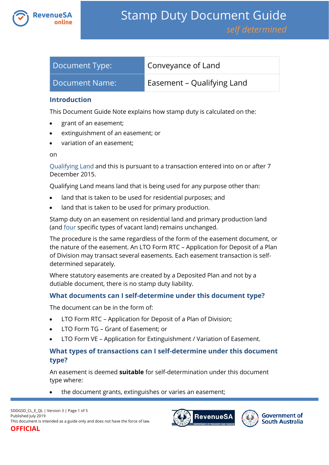

| Document Type: | Conveyance of Land         |
|----------------|----------------------------|
| Document Name: | Easement – Qualifying Land |

## **Introduction**

This Document Guide Note explains how stamp duty is calculated on the:

- grant of an easement;
- extinguishment of an easement; or
- variation of an easement;

on

[Qualifying Land](https://www.revenuesa.sa.gov.au/stampduty/stamp-duty-document-guide#Qualifying) and this is pursuant to a transaction entered into on or after 7 December 2015.

Qualifying Land means land that is being used for any purpose other than:

- land that is taken to be used for residential purposes; and
- land that is taken to be used for primary production.

Stamp duty on an easement on residential land and primary production land (and [four](https://www.revenuesa.sa.gov.au/stampduty/real-property-land#NotQualifyingLand) specific types of vacant land) remains unchanged.

The procedure is the same regardless of the form of the easement document, or the nature of the easement. An LTO Form RTC – Application for Deposit of a Plan of Division may transact several easements. Each easement transaction is selfdetermined separately.

Where statutory easements are created by a Deposited Plan and not by a dutiable document, there is no stamp duty liability.

## **What documents can I self-determine under this document type?**

The document can be in the form of:

- LTO Form RTC Application for Deposit of a Plan of Division;
- LTO Form TG Grant of Easement; or
- LTO Form VE Application for Extinguishment / Variation of Easement.

## **What types of transactions can I self-determine under this document type?**

An easement is deemed **suitable** for self-determination under this document type where:

the document grants, extinguishes or varies an easement;



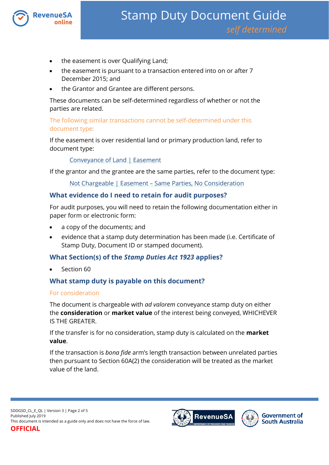

- the easement is over Qualifying Land;
- the easement is pursuant to a transaction entered into on or after 7 December 2015; and
- the Grantor and Grantee are different persons.

These documents can be self-determined regardless of whether or not the parties are related.

The following similar transactions cannot be self-determined under this document type:

If the easement is over residential land or primary production land, refer to document type:

[Conveyance of Land | Easement](https://www.revenuesa.sa.gov.au/stampduty/stamp-duty-document-guide/self-determined/conveyance-of-land/sddgsd_cl_e_rpp)

If the grantor and the grantee are the same parties, refer to the document type:

Not Chargeable | Easement – [Same Parties, No Consideration](https://www.revenuesa.sa.gov.au/stampduty/stamp-duty-document-guide/self-determined/not-chargeable/sddgsd_nc_e)

## **What evidence do I need to retain for audit purposes?**

For audit purposes, you will need to retain the following documentation either in paper form or electronic form:

- a copy of the documents; and
- evidence that a stamp duty determination has been made (i.e. Certificate of Stamp Duty, Document ID or stamped document).

## **What Section(s) of the** *Stamp Duties Act 1923* **applies?**

Section 60

## **What stamp duty is payable on this document?**

#### For consideration

The document is chargeable with *ad valorem* conveyance stamp duty on either the **consideration** or **market value** of the interest being conveyed, WHICHEVER IS THE GREATER.

If the transfer is for no consideration, stamp duty is calculated on the **market value**.

If the transaction is *bona fide* arm's length transaction between unrelated parties then pursuant to Section 60A(2) the consideration will be treated as the market value of the land.



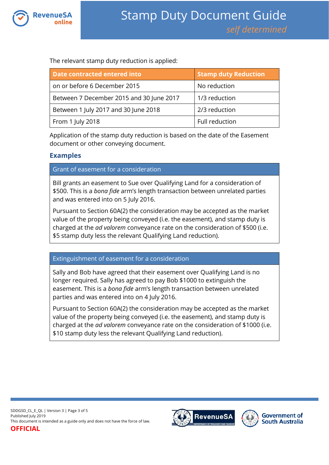

The relevant stamp duty reduction is applied:

| Date contracted entered into             | <b>Stamp duty Reduction</b> |
|------------------------------------------|-----------------------------|
| on or before 6 December 2015             | No reduction                |
| Between 7 December 2015 and 30 June 2017 | 1/3 reduction               |
| Between 1 July 2017 and 30 June 2018     | 2/3 reduction               |
| From 1 July 2018                         | Full reduction              |

Application of the stamp duty reduction is based on the date of the Easement document or other conveying document.

## **Examples**

Grant of easement for a consideration

Bill grants an easement to Sue over Qualifying Land for a consideration of \$500. This is a *bona fide* arm's length transaction between unrelated parties and was entered into on 5 July 2016.

Pursuant to Section 60A(2) the consideration may be accepted as the market value of the property being conveyed (i.e. the easement), and stamp duty is charged at the *ad valorem* conveyance rate on the consideration of \$500 (i.e. \$5 stamp duty less the relevant Qualifying Land reduction).

Extinguishment of easement for a consideration

Sally and Bob have agreed that their easement over Qualifying Land is no longer required. Sally has agreed to pay Bob \$1000 to extinguish the easement. This is a *bona fide* arm's length transaction between unrelated parties and was entered into on 4 July 2016.

Pursuant to Section 60A(2) the consideration may be accepted as the market value of the property being conveyed (i.e. the easement), and stamp duty is charged at the *ad valorem* conveyance rate on the consideration of \$1000 (i.e. \$10 stamp duty less the relevant Qualifying Land reduction).

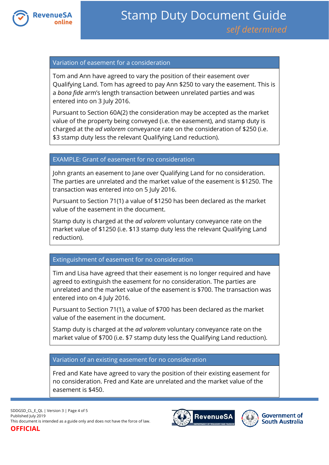

### Variation of easement for a consideration

Tom and Ann have agreed to vary the position of their easement over Qualifying Land. Tom has agreed to pay Ann \$250 to vary the easement. This is a *bona fide* arm's length transaction between unrelated parties and was entered into on 3 July 2016.

Pursuant to Section 60A(2) the consideration may be accepted as the market value of the property being conveyed (i.e. the easement), and stamp duty is charged at the *ad valorem* conveyance rate on the consideration of \$250 (i.e. \$3 stamp duty less the relevant Qualifying Land reduction).

### EXAMPLE: Grant of easement for no consideration

John grants an easement to Jane over Qualifying Land for no consideration. The parties are unrelated and the market value of the easement is \$1250. The transaction was entered into on 5 July 2016.

Pursuant to Section 71(1) a value of \$1250 has been declared as the market value of the easement in the document.

Stamp duty is charged at the *ad valorem* voluntary conveyance rate on the market value of \$1250 (i.e. \$13 stamp duty less the relevant Qualifying Land reduction).

#### Extinguishment of easement for no consideration

Tim and Lisa have agreed that their easement is no longer required and have agreed to extinguish the easement for no consideration. The parties are unrelated and the market value of the easement is \$700. The transaction was entered into on 4 July 2016.

Pursuant to Section 71(1), a value of \$700 has been declared as the market value of the easement in the document.

Stamp duty is charged at the *ad valorem* voluntary conveyance rate on the market value of \$700 (i.e. \$7 stamp duty less the Qualifying Land reduction).

#### Variation of an existing easement for no consideration

Fred and Kate have agreed to vary the position of their existing easement for no consideration. Fred and Kate are unrelated and the market value of the easement is \$450.